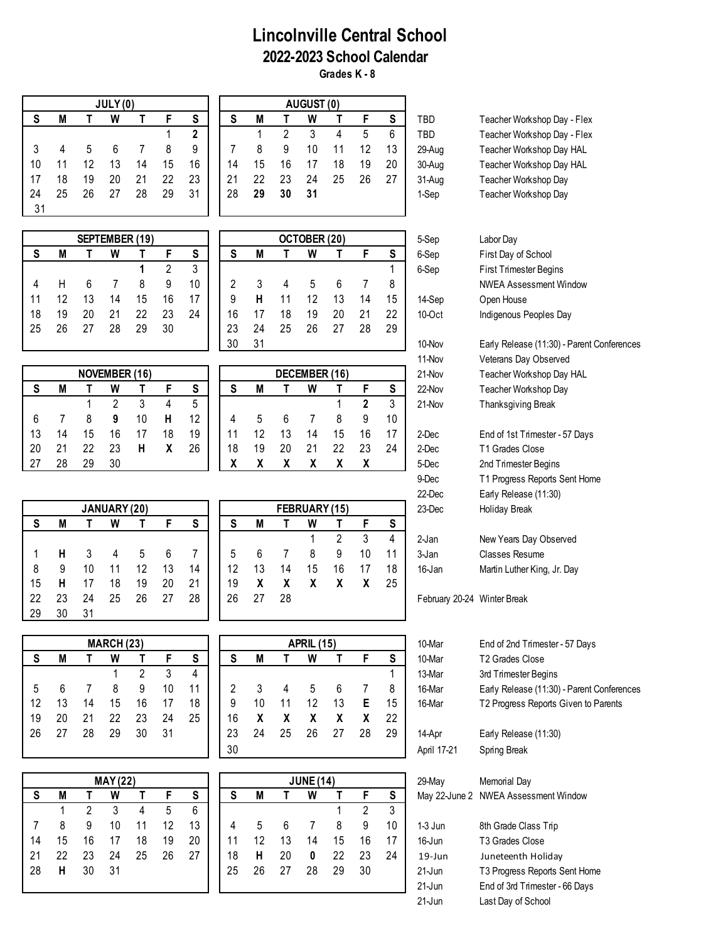## **Lincolnville Central School 2022-2023 School Calendar Grades K - 8**

31 **JULY (0) AUGUST (0)**

|           |    |    |    | SEPTEMBER (19) |    |    |    |    |    | OCTOBER (20) |    |    |    |
|-----------|----|----|----|----------------|----|----|----|----|----|--------------|----|----|----|
| S         | М  |    | W  |                |    | S  | S  | М  |    | W            |    | F  | S  |
|           |    |    |    |                | າ  | 3  |    |    |    |              |    |    |    |
|           |    |    |    | 8              | 9  | 10 | 2  | 3  | 4  | 5            | 6  |    | 8  |
| 11        | 12 | 13 | 14 | 15             | 16 |    | 9  | н  | 11 | 12           | 13 | 14 | 15 |
| 18        | 19 | 20 | 21 | 22             | 23 | 24 | 16 |    | 18 | 19           | 20 | 21 | 22 |
| <b>25</b> | 26 | 27 | 28 | 29             | 30 |    | 23 | 24 | 25 | 26           | 27 | 28 | 29 |
|           |    |    |    |                |    |    | っぃ | 21 |    |              |    |    |    |

|    |    |    | <b>NOVEMBER (16)</b> |    |    |    |    |    |    | DECEMBER (16) |    |    |    |
|----|----|----|----------------------|----|----|----|----|----|----|---------------|----|----|----|
| -  | M  |    | W                    |    |    | S  | S  | M  |    | W             |    |    | S  |
|    |    |    | າ                    |    |    | 5  |    |    |    |               |    | 2  | 3  |
|    |    | 8  | 9                    | 10 |    | 12 |    | 5  | 6  |               | 8  | 9  | 10 |
| 13 | 14 | 15 | 16                   |    | 18 | 19 |    | 12 | 13 | 14            | 15 | 16 |    |
| 20 | 21 | 22 | 23                   | н  | χ  | 26 | 18 | 19 |    | 21            | 22 | 23 | 24 |
| 2. | 28 | 29 | 30                   |    |    |    | х  |    |    | v             | χ  |    |    |

|     |    |    | JANUARY (20) |    |    |    |    |    |    | FEBRUARY (15) |    |    |    |
|-----|----|----|--------------|----|----|----|----|----|----|---------------|----|----|----|
| S   | M  |    | W            |    | E  | S  | S  | M  |    | W             |    | F  | S  |
|     |    |    |              |    |    |    |    |    |    |               | 2  | 3  | 4  |
|     | н  | 3  | 4            | 5  | 6  |    | 5  | 6  |    | 8             | 9  | 10 | 11 |
| 8   | 9  | 10 | 11           | 12 | 13 | 14 | 12 | 13 | 14 | 15            | 16 | 17 | 18 |
| 15  | н  | 17 | 18           | 19 | 20 | 21 | 19 | χ  |    | X             | X  | X. | 25 |
| -22 | 23 | 24 | 25           | 26 | 27 | 28 | 26 | 27 | 28 |               |    |    |    |
| 29  | 30 | 31 |              |    |    |    |    |    |    |               |    |    |    |

|      |    |    | <b>MARCH (23)</b> |    |    |    |    |    |    | <b>APRIL (15)</b> |    |    |    |
|------|----|----|-------------------|----|----|----|----|----|----|-------------------|----|----|----|
|      | M  |    | W                 |    |    | S  | S  | M  |    | W                 |    |    | S  |
|      |    |    |                   | 2  | 3  | 4  |    |    |    |                   |    |    |    |
|      | 6  |    | 8                 | 9  | 10 | 11 | 2  | 3  | 4  | 5                 | 6  |    | 8  |
| 12   | 13 | 14 | 15                | 16 | 17 | 18 | 9  | 10 | 11 | 12                | 13 | Е. | 15 |
| -19  | 20 | 21 | 22                | 23 | 24 | 25 | 16 | X  | X  | X                 | X  | X  | 22 |
| - 26 | 27 | 28 | 29                | 30 | 31 |    | 23 | 24 | 25 | 26                | 27 | 28 | 29 |
|      |    |    |                   |    |    |    |    |    |    |                   |    |    |    |

|    |    |                | <b>MAY (22)</b> |    |    |    |
|----|----|----------------|-----------------|----|----|----|
| S  | M  |                | W               |    | F  | S  |
|    |    | $\overline{2}$ | 3               | 4  | 5  | 6  |
| 7  | 8  | 9              | 10              | 11 | 12 | 13 |
| 14 | 15 | 16             | 17              | 18 | 19 | 20 |
| 21 | 22 | 23             | 24              | 25 | 26 | 27 |
| 28 | н  | 30             | 31              |    |    |    |
|    |    |                |                 |    |    |    |

|    |    |    | JULY(0) |    |    |    |    |    |    | AUGUST (0) |    |    |    |        |                             |
|----|----|----|---------|----|----|----|----|----|----|------------|----|----|----|--------|-----------------------------|
| S  | M  |    | W       |    |    | S  |    | M  |    | W          |    |    | S  | TBD    | Teacher Workshop Day - Flex |
|    |    |    |         |    |    | 2  |    |    |    |            |    | 5  | 6  | TBD    | Teacher Workshop Day - Flex |
|    |    |    |         |    |    | 9  |    |    | 9  | 10         |    |    | 13 | 29-Aug | Teacher Workshop Day HAL    |
| 10 |    |    |         | 14 | 15 | 16 | 14 | 15 | 16 |            | 18 | 19 | 20 | 30-Aug | Teacher Workshop Day HAL    |
| 17 | 18 | 19 | 20      |    | 22 | 23 | 21 | 22 | 23 | 24         | 25 | 26 | 27 | 31-Aug | Teacher Workshop Day        |
| 24 | 25 | 26 |         | 28 | 29 | 31 | 28 | 29 | 30 | 31         |    |    |    | 1-Sep  | Teacher Workshop Day        |
| 31 |    |    |         |    |    |    |    |    |    |            |    |    |    |        |                             |

| OCTOBER (20)<br>5-Sep<br>Labor Day |        |    |    |    |    |    |    |    |    | SEPTEMBER (19) |    |    |    |    |    |
|------------------------------------|--------|----|----|----|----|----|----|----|----|----------------|----|----|----|----|----|
| First Day of                       | 6-Sep  | S  | F  |    | W  |    | M  | S  | S  |                |    | W  |    | M  | S  |
| <b>First Trimest</b>               | 6-Sep  |    |    |    |    |    |    |    | ৽ঽ | റ              |    |    |    |    |    |
| <b>NWEA Asse</b>                   |        | 8  |    | 6  | 5  |    | 3  | 2  | 10 | 9              |    |    |    | Н  | 4  |
| Open House                         | 14-Sep | 15 | 14 | 13 | 12 |    | н  | 9  | 17 | 16             | 15 |    | 13 | 12 | 11 |
| Indigenous F                       | 10-Oct | 22 | 21 | 20 | 19 | 18 |    | 16 | 24 | 23             | 22 | 21 | 20 | 19 | 18 |
|                                    |        | 29 | 28 | 27 | 26 | 25 | 24 | 23 |    | 30             | 29 | 28 |    | 26 | 25 |
| Early Releas                       | 10-Nov |    |    |    |    |    | 31 | 30 |    |                |    |    |    |    |    |

|    |    |    | DECEMBER (16) |    |    |    |
|----|----|----|---------------|----|----|----|
| S  | М  |    | w             |    | F  | S  |
|    |    |    |               |    | 2  | 3  |
|    | 5  | 6  |               | 8  | 9  | 10 |
| 11 | 12 | 13 | 14            | 15 | 16 | 17 |
| 18 | 19 | 20 | 21            | 22 | 23 | 24 |
| X  |    |    |               |    |    |    |

|    |    |    | FEBRUARY (15) |    |    |    |
|----|----|----|---------------|----|----|----|
| S  | М  |    | W             |    | F  | S  |
|    |    |    |               | 2  | 3  |    |
| 5  | 6  |    | 8             | 9  | 10 | 11 |
| 12 | 13 | 14 | 15            | 16 | 17 | 18 |
| 19 | χ  | χ  | χ             | χ  | Χ  | 25 |
| 26 | 27 | 28 |               |    |    |    |

|    |    |    | <b>MARCH (23)</b> |    |    |    | <b>APRIL (15)</b> |    |    |    |    |    | 10-Mar | End of 2nd Trimester - 57 Days |                                            |
|----|----|----|-------------------|----|----|----|-------------------|----|----|----|----|----|--------|--------------------------------|--------------------------------------------|
| S  | M  |    | W                 |    |    | S  |                   | M  |    | W  |    |    | S      | 10-Mar                         | T <sub>2</sub> Grades Close                |
|    |    |    |                   |    |    | 4  |                   |    |    |    |    |    |        | 13-Mar                         | 3rd Trimester Begins                       |
| 5  |    |    |                   |    |    | 11 |                   |    |    |    |    |    | 8      | 16-Mar                         | Early Release (11:30) - Parent Conferences |
| 12 |    |    | 15                | 16 |    | 18 | 9                 | 10 |    | 12 | 13 |    | 15     | 16-Mar                         | T2 Progress Reports Given to Parents       |
| 19 | 20 |    | 22                |    | 24 | 25 | 16                |    |    |    |    |    | 22     |                                |                                            |
| 26 |    | 28 | 29                | 30 | 31 |    | 23                | 24 | 25 | 26 |    | 28 | 29     | 14-Apr                         | Early Release (11:30)                      |
|    |    |    |                   |    |    |    | 30                |    |    |    |    |    |        | April 17-21                    | Spring Break                               |

|    |    |    | <b>MAY (22)</b> |    |    |    | <b>JUNE (14)</b> |    |    |    |    |    |    | 29-May     | Memorial Day                         |
|----|----|----|-----------------|----|----|----|------------------|----|----|----|----|----|----|------------|--------------------------------------|
| S  | M  |    | W               |    |    | S  | S                | М  |    | W  |    |    | S  |            | May 22-June 2 NWEA Assessment Window |
|    |    |    |                 | 4  | 5  | 6  |                  |    |    |    |    |    |    |            |                                      |
|    | 8  | 9  | 10              |    | 12 | 13 | 4                | 5  |    |    |    | 9  | 10 | $1-3$ Jun  | 8th Grade Class Trip                 |
| 14 | 15 | 16 |                 | 18 | 19 | 20 | 11               | 12 | 13 | 14 | 15 | 16 |    | $16$ -Jun  | T <sub>3</sub> Grades Close          |
| 21 | 22 | 23 | 24              | 25 | 26 | 27 | 18               | н  | 20 | 0  | 22 | 23 | 24 | $19 - Jun$ | Juneteenth Holiday                   |
| 28 | н  | 30 | 31              |    |    |    | 25               | 26 |    | 28 | 29 | 30 |    | $21$ -Jun  | T3 Progress Reports Sent Home        |
|    |    |    |                 |    |    |    |                  |    |    |    |    |    |    | $21$ -Jun  | End of 3rd Trimester - 66 Days       |

| Teacher Workshop Day - Flex |
|-----------------------------|
|                             |
| Teacher Workshop Day - Flex |
| Teacher Workshop Day HAL    |
| Teacher Workshop Day HAL    |
| Teacher Workshop Day        |
| Teacher Workshop Day        |

Sep Labor Day **S M T W T F S S M T W T F S** 6-Sep First Day of School **1 1 2 1** First Trimester Begins NWEA Assessment Window 1-Oct Indigenous Peoples Day

1-Nov Early Release (11:30) - Parent Conferences 11-Nov Veterans Day Observed 21-Nov Teacher Workshop Day HAL **S M T W T F S S M T W T F S** 22-Nov Teacher Workshop Day 1 2 3 4 5 1 **2** 3 21-Nov Thanksgiving Break

Dec End of 1st Trimester - 57 Days Dec T1 Grades Close 27 28 29 30 **X X X X X X** 5-Dec 2nd Trimester Begins 9-Dec T1 Progress Reports Sent Home 22-Dec Early Release (11:30) 23-Dec Holiday Break

2-Jan New Years Day Observed 3-Jan Classes Resume 16-Jan Martin Luther King, Jr. Day

February 20-24 Winter Break

| End of 2nd Trimester - 57 Days             |
|--------------------------------------------|
| T <sub>2</sub> Grades Close                |
| 3rd Trimester Begins                       |
| Early Release (11:30) - Parent Conferences |
| T2 Progress Reports Given to Parents       |
|                                            |

| 29-May     | Memorial Day<br>May 22-June 2 NWEA Assessment Window |
|------------|------------------------------------------------------|
| 1-3 Jun    | 8th Grade Class Trip                                 |
| 16-Jun     | T <sub>3</sub> Grades Close                          |
| $19 - Jun$ | Juneteenth Holiday                                   |
| 21-Jun     | T3 Progress Reports Sent Hom                         |
| 21-Jun     | End of 3rd Trimester - 66 Days                       |
| 21-Jun     | Last Day of School                                   |